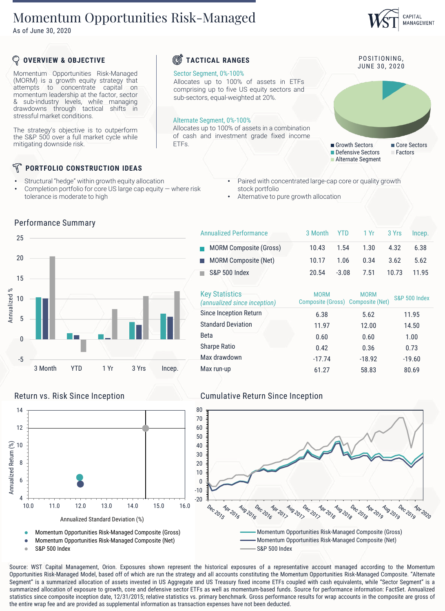# Momentum Opportunities Risk-Managed

As of June 30, 2020

#### Momentum Opportunities Risk-Managed (MORM) is a growth equity strategy that attempts to concentrate capital on momentum leadership at the factor, sector & sub-industry levels, while managing drawdowns through tactical shifts in stressful market conditions. The strategy's objective is to outperform the S&P 500 over a full market cycle while mitigating downside risk. **OVERVIEW & OBJECTIVE PORTFOLIO CONSTRUCTION IDEAS** POSITIONING, JUNE 30, 2020 **TACTICAL RANGES** Sector Segment, 0%-100% Allocates up to 100% of assets in ETFs comprising up to five US equity sectors and sub-sectors, equal-weighted at 20%. Alternate Segment, 0%-100% Allocates up to 100% of assets in a combination of cash and investment grade fixed income ETFs. Growth Sectors **Core Sectors** Defensive Sectors Factors **Alternate Segment**

Annualized Performance

- Structural "hedge" within growth equity allocation
- Completion portfolio for core US large cap equity where risk tolerance is moderate to high
- Paired with concentrated large-cap core or quality growth stock portfolio

3 Month YTD 1 Yr 3 Yrs Incep.

CAPITAL MANAGEMENT

-17.74 -18.92 -19.60

• Alternative to pure growth allocation



Annualized Standard Deviation (%)

| <b>Standard Deviation</b>                             | 11.97                                            |         | 12.00       |       | 14.50                    |
|-------------------------------------------------------|--------------------------------------------------|---------|-------------|-------|--------------------------|
| Since Inception Return                                | 6.38                                             |         | 5.62        |       | 11.95                    |
| <b>Key Statistics</b><br>(annualized since inception) | <b>MORM</b><br>Composite (Gross) Composite (Net) |         | <b>MORM</b> |       | <b>S&amp;P 500 Index</b> |
| <b>S&amp;P 500 Index</b>                              | 20.54                                            | $-3.08$ | 7.51        | 10.73 | 11.95                    |
| <b>MORM Composite (Net)</b>                           | 10.17                                            | 1.06    | 0.34        | 3.62  | 5.62                     |
| <b>MORM Composite (Gross)</b>                         | 10.43                                            | 1.54    | 1.30        | 4.32  | 6.38                     |

Beta 0.60 0.60 1.00 Sharpe Ratio 0.42 0.36 0.73

Max run-up 61.27 58.83 80.69

# Return vs. Risk Since Inception Cumulative Return Since Inception



## Source: WST Capital Management, Orion. Exposures shown represent the historical exposures of a representative account managed according to the Momentum Opportunities Risk-Managed Model, based off of which are run the strategy and all accounts constituting the Momentum Opportunities Risk-Managed Composite. "Alternate Segment" is a summarized allocation of assets invested in US Aggregate and US Treasury fixed income ETFs coupled with cash equivalents, while "Sector Segment" is a summarized allocation of exposure to growth, core and defensive sector ETFs as well as momentum-based funds. Source for performance information: FactSet. Annualized statistics since composite inception date, 12/31/2015; relative statistics vs. primary benchmark. Gross performance results for wrap accounts in the composite are gross of

Max drawdown

# Performance Summary

4

S&P 500 Index

6

8

Annualized Return (%)

10

12

14